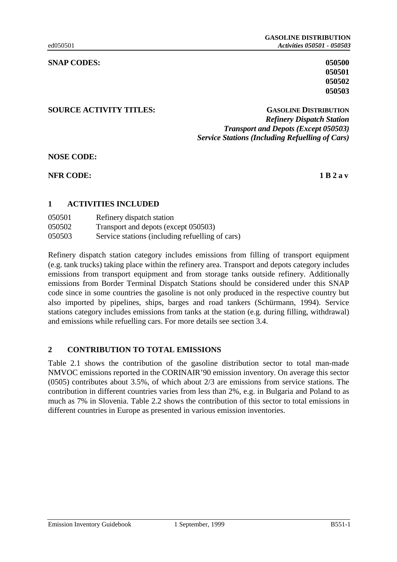**050501 050502 050503**

## **SOURCE ACTIVITY TITLES: GASOLINE DISTRIBUTION** *Refinery Dispatch Station Transport and Depots (Except 050503) Service Stations (Including Refuelling of Cars)*

**NOSE CODE:**

**NFR CODE:** 1 B 2 a v

# **1 ACTIVITIES INCLUDED**

| 050501 | Refinery dispatch station                       |
|--------|-------------------------------------------------|
| 050502 | Transport and depots (except 050503)            |
| 050503 | Service stations (including refuelling of cars) |

Refinery dispatch station category includes emissions from filling of transport equipment (e.g. tank trucks) taking place within the refinery area. Transport and depots category includes emissions from transport equipment and from storage tanks outside refinery. Additionally emissions from Border Terminal Dispatch Stations should be considered under this SNAP code since in some countries the gasoline is not only produced in the respective country but also imported by pipelines, ships, barges and road tankers (Schürmann, 1994). Service stations category includes emissions from tanks at the station (e.g. during filling, withdrawal) and emissions while refuelling cars. For more details see section 3.4.

# **2 CONTRIBUTION TO TOTAL EMISSIONS**

Table 2.1 shows the contribution of the gasoline distribution sector to total man-made NMVOC emissions reported in the CORINAIR'90 emission inventory. On average this sector (0505) contributes about 3.5%, of which about 2/3 are emissions from service stations. The contribution in different countries varies from less than 2%, e.g. in Bulgaria and Poland to as much as 7% in Slovenia. Table 2.2 shows the contribution of this sector to total emissions in different countries in Europe as presented in various emission inventories.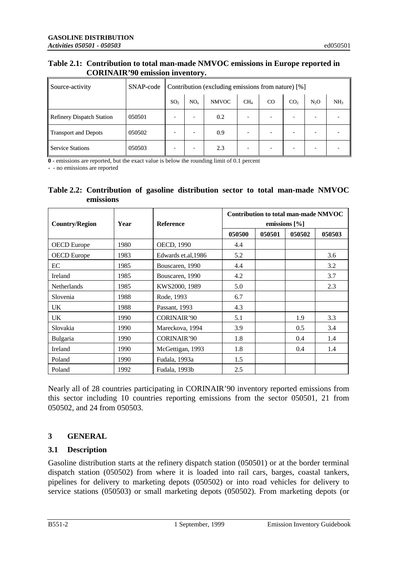## **Table 2.1: Contribution to total man-made NMVOC emissions in Europe reported in CORINAIR'90 emission inventory.**

| Source-activity             | SNAP-code |                 | Contribution (excluding emissions from nature) [%] |              |                 |          |                 |                  |                 |
|-----------------------------|-----------|-----------------|----------------------------------------------------|--------------|-----------------|----------|-----------------|------------------|-----------------|
|                             |           | SO <sub>2</sub> | NO <sub>x</sub>                                    | <b>NMVOC</b> | CH <sub>4</sub> | $\rm CO$ | CO <sub>2</sub> | N <sub>2</sub> O | NH <sub>3</sub> |
| Refinery Dispatch Station   | 050501    | ۰               | ۰                                                  | 0.2          |                 |          |                 |                  |                 |
| <b>Transport and Depots</b> | 050502    | -               | -                                                  | 0.9          | -               |          |                 |                  |                 |
| Service Stations            | 050503    |                 |                                                    | 2.3          |                 |          |                 |                  |                 |

**0** - emissions are reported, but the exact value is below the rounding limit of 0.1 percent

**-** - no emissions are reported

| Table 2.2: Contribution of gasoline distribution sector to total man-made NMVOC |  |  |  |  |
|---------------------------------------------------------------------------------|--|--|--|--|
| .<br>emissions                                                                  |  |  |  |  |

| <b>Country/Region</b> | Year | <b>Reference</b>    |        |        | Contribution to total man-made NMVOC<br>emissions $[\%]$ |        |
|-----------------------|------|---------------------|--------|--------|----------------------------------------------------------|--------|
|                       |      |                     | 050500 | 050501 | 050502                                                   | 050503 |
| <b>OECD</b> Europe    | 1980 | OECD, 1990          | 4.4    |        |                                                          |        |
| <b>OECD</b> Europe    | 1983 | Edwards et.al, 1986 | 5.2    |        |                                                          | 3.6    |
| EC                    | 1985 | Bouscaren, 1990     | 4.4    |        |                                                          | 3.2    |
| Ireland               | 1985 | Bouscaren, 1990     | 4.2    |        |                                                          | 3.7    |
| <b>Netherlands</b>    | 1985 | KWS2000, 1989       | 5.0    |        |                                                          | 2.3    |
| Slovenia              | 1988 | Rode, 1993          | 6.7    |        |                                                          |        |
| UK.                   | 1988 | Passant, 1993       | 4.3    |        |                                                          |        |
| UK.                   | 1990 | CORINAIR'90         | 5.1    |        | 1.9                                                      | 3.3    |
| Slovakia              | 1990 | Mareckova, 1994     | 3.9    |        | 0.5                                                      | 3.4    |
| Bulgaria              | 1990 | CORINAIR'90         | 1.8    |        | 0.4                                                      | 1.4    |
| Ireland               | 1990 | McGettigan, 1993    | 1.8    |        | 0.4                                                      | 1.4    |
| Poland                | 1990 | Fudala, 1993a       | 1.5    |        |                                                          |        |
| Poland                | 1992 | Fudala, 1993b       | 2.5    |        |                                                          |        |

Nearly all of 28 countries participating in CORINAIR'90 inventory reported emissions from this sector including 10 countries reporting emissions from the sector 050501, 21 from 050502, and 24 from 050503.

# **3 GENERAL**

# **3.1 Description**

Gasoline distribution starts at the refinery dispatch station (050501) or at the border terminal dispatch station (050502) from where it is loaded into rail cars, barges, coastal tankers, pipelines for delivery to marketing depots (050502) or into road vehicles for delivery to service stations (050503) or small marketing depots (050502). From marketing depots (or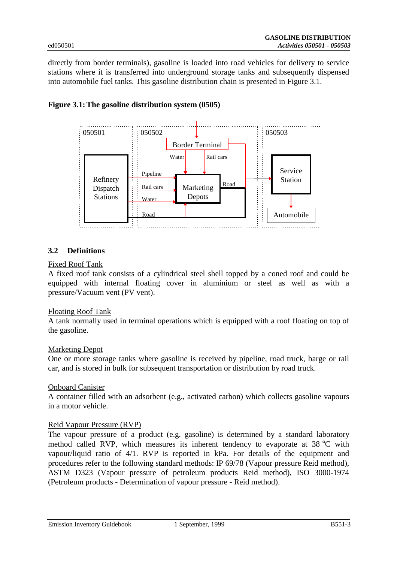directly from border terminals), gasoline is loaded into road vehicles for delivery to service stations where it is transferred into underground storage tanks and subsequently dispensed into automobile fuel tanks. This gasoline distribution chain is presented in Figure 3.1.





# **3.2 Definitions**

## Fixed Roof Tank

A fixed roof tank consists of a cylindrical steel shell topped by a coned roof and could be equipped with internal floating cover in aluminium or steel as well as with a pressure/Vacuum vent (PV vent).

## Floating Roof Tank

A tank normally used in terminal operations which is equipped with a roof floating on top of the gasoline.

## Marketing Depot

One or more storage tanks where gasoline is received by pipeline, road truck, barge or rail car, and is stored in bulk for subsequent transportation or distribution by road truck.

## Onboard Canister

A container filled with an adsorbent (e.g., activated carbon) which collects gasoline vapours in a motor vehicle.

## Reid Vapour Pressure (RVP)

The vapour pressure of a product (e.g. gasoline) is determined by a standard laboratory method called RVP, which measures its inherent tendency to evaporate at 38 °C with vapour/liquid ratio of 4/1. RVP is reported in kPa. For details of the equipment and procedures refer to the following standard methods: IP 69/78 (Vapour pressure Reid method), ASTM D323 (Vapour pressure of petroleum products Reid method), ISO 3000-1974 (Petroleum products - Determination of vapour pressure - Reid method).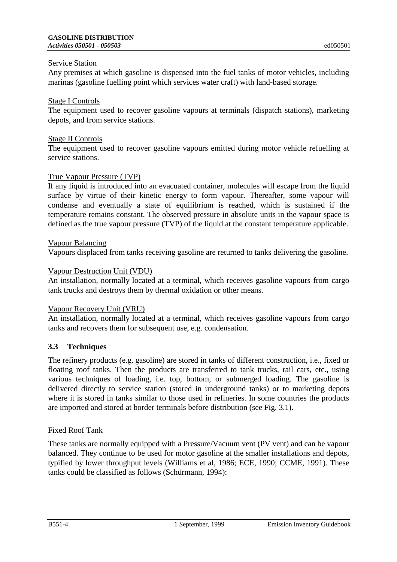Any premises at which gasoline is dispensed into the fuel tanks of motor vehicles, including marinas (gasoline fuelling point which services water craft) with land-based storage.

# Stage I Controls

The equipment used to recover gasoline vapours at terminals (dispatch stations), marketing depots, and from service stations.

## Stage II Controls

The equipment used to recover gasoline vapours emitted during motor vehicle refuelling at service stations.

## True Vapour Pressure (TVP)

If any liquid is introduced into an evacuated container, molecules will escape from the liquid surface by virtue of their kinetic energy to form vapour. Thereafter, some vapour will condense and eventually a state of equilibrium is reached, which is sustained if the temperature remains constant. The observed pressure in absolute units in the vapour space is defined as the true vapour pressure (TVP) of the liquid at the constant temperature applicable.

## Vapour Balancing

Vapours displaced from tanks receiving gasoline are returned to tanks delivering the gasoline.

## Vapour Destruction Unit (VDU)

An installation, normally located at a terminal, which receives gasoline vapours from cargo tank trucks and destroys them by thermal oxidation or other means.

## Vapour Recovery Unit (VRU)

An installation, normally located at a terminal, which receives gasoline vapours from cargo tanks and recovers them for subsequent use, e.g. condensation.

# **3.3 Techniques**

The refinery products (e.g. gasoline) are stored in tanks of different construction, i.e., fixed or floating roof tanks. Then the products are transferred to tank trucks, rail cars, etc., using various techniques of loading, i.e. top, bottom, or submerged loading. The gasoline is delivered directly to service station (stored in underground tanks) or to marketing depots where it is stored in tanks similar to those used in refineries. In some countries the products are imported and stored at border terminals before distribution (see Fig. 3.1).

## Fixed Roof Tank

These tanks are normally equipped with a Pressure/Vacuum vent (PV vent) and can be vapour balanced. They continue to be used for motor gasoline at the smaller installations and depots, typified by lower throughput levels (Williams et al, 1986; ECE, 1990; CCME, 1991). These tanks could be classified as follows (Schürmann, 1994):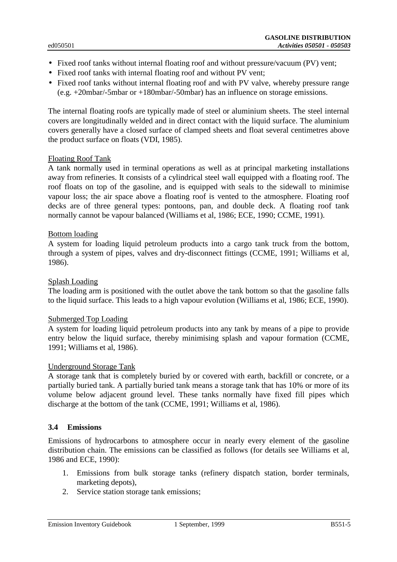- Fixed roof tanks without internal floating roof and without pressure/vacuum (PV) vent;
- Fixed roof tanks with internal floating roof and without PV vent;
- Fixed roof tanks without internal floating roof and with PV valve, whereby pressure range (e.g. +20mbar/-5mbar or +180mbar/-50mbar) has an influence on storage emissions.

The internal floating roofs are typically made of steel or aluminium sheets. The steel internal covers are longitudinally welded and in direct contact with the liquid surface. The aluminium covers generally have a closed surface of clamped sheets and float several centimetres above the product surface on floats (VDI, 1985).

## Floating Roof Tank

A tank normally used in terminal operations as well as at principal marketing installations away from refineries. It consists of a cylindrical steel wall equipped with a floating roof. The roof floats on top of the gasoline, and is equipped with seals to the sidewall to minimise vapour loss; the air space above a floating roof is vented to the atmosphere. Floating roof decks are of three general types: pontoons, pan, and double deck. A floating roof tank normally cannot be vapour balanced (Williams et al, 1986; ECE, 1990; CCME, 1991).

#### Bottom loading

A system for loading liquid petroleum products into a cargo tank truck from the bottom, through a system of pipes, valves and dry-disconnect fittings (CCME, 1991; Williams et al, 1986).

#### Splash Loading

The loading arm is positioned with the outlet above the tank bottom so that the gasoline falls to the liquid surface. This leads to a high vapour evolution (Williams et al, 1986; ECE, 1990).

#### Submerged Top Loading

A system for loading liquid petroleum products into any tank by means of a pipe to provide entry below the liquid surface, thereby minimising splash and vapour formation (CCME, 1991; Williams et al, 1986).

#### Underground Storage Tank

A storage tank that is completely buried by or covered with earth, backfill or concrete, or a partially buried tank. A partially buried tank means a storage tank that has 10% or more of its volume below adjacent ground level. These tanks normally have fixed fill pipes which discharge at the bottom of the tank (CCME, 1991; Williams et al, 1986).

## **3.4 Emissions**

Emissions of hydrocarbons to atmosphere occur in nearly every element of the gasoline distribution chain. The emissions can be classified as follows (for details see Williams et al, 1986 and ECE, 1990):

- 1. Emissions from bulk storage tanks (refinery dispatch station, border terminals, marketing depots),
- 2. Service station storage tank emissions;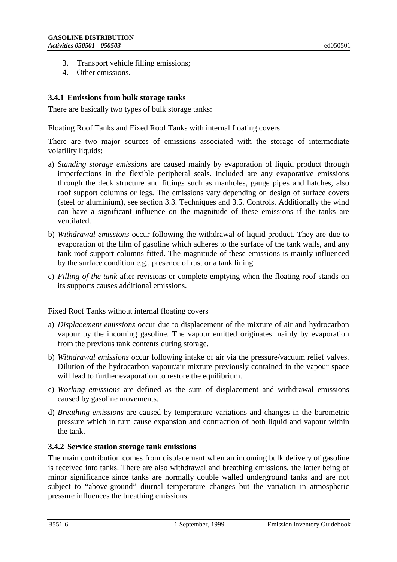- 3. Transport vehicle filling emissions;
- 4. Other emissions.

# **3.4.1 Emissions from bulk storage tanks**

There are basically two types of bulk storage tanks:

## Floating Roof Tanks and Fixed Roof Tanks with internal floating covers

There are two major sources of emissions associated with the storage of intermediate volatility liquids:

- a) *Standing storage emissions* are caused mainly by evaporation of liquid product through imperfections in the flexible peripheral seals. Included are any evaporative emissions through the deck structure and fittings such as manholes, gauge pipes and hatches, also roof support columns or legs. The emissions vary depending on design of surface covers (steel or aluminium), see section 3.3. Techniques and 3.5. Controls. Additionally the wind can have a significant influence on the magnitude of these emissions if the tanks are ventilated.
- b) *Withdrawal emissions* occur following the withdrawal of liquid product. They are due to evaporation of the film of gasoline which adheres to the surface of the tank walls, and any tank roof support columns fitted. The magnitude of these emissions is mainly influenced by the surface condition e.g., presence of rust or a tank lining.
- c) *Filling of the tank* after revisions or complete emptying when the floating roof stands on its supports causes additional emissions.

## Fixed Roof Tanks without internal floating covers

- a) *Displacement emissions* occur due to displacement of the mixture of air and hydrocarbon vapour by the incoming gasoline. The vapour emitted originates mainly by evaporation from the previous tank contents during storage.
- b) *Withdrawal emissions* occur following intake of air via the pressure/vacuum relief valves. Dilution of the hydrocarbon vapour/air mixture previously contained in the vapour space will lead to further evaporation to restore the equilibrium.
- c) *Working emissions* are defined as the sum of displacement and withdrawal emissions caused by gasoline movements.
- d) *Breathing emissions* are caused by temperature variations and changes in the barometric pressure which in turn cause expansion and contraction of both liquid and vapour within the tank.

## **3.4.2 Service station storage tank emissions**

The main contribution comes from displacement when an incoming bulk delivery of gasoline is received into tanks. There are also withdrawal and breathing emissions, the latter being of minor significance since tanks are normally double walled underground tanks and are not subject to "above-ground" diurnal temperature changes but the variation in atmospheric pressure influences the breathing emissions.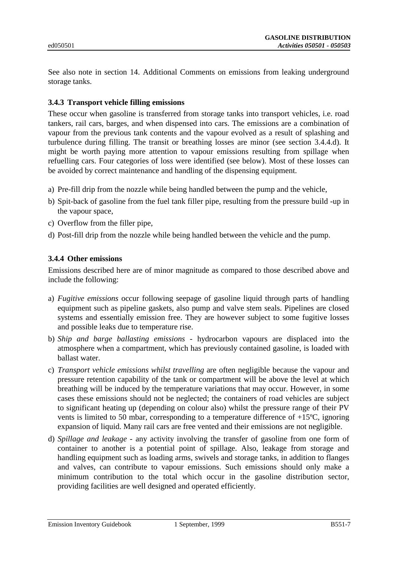See also note in section 14. Additional Comments on emissions from leaking underground storage tanks.

# **3.4.3 Transport vehicle filling emissions**

These occur when gasoline is transferred from storage tanks into transport vehicles, i.e. road tankers, rail cars, barges, and when dispensed into cars. The emissions are a combination of vapour from the previous tank contents and the vapour evolved as a result of splashing and turbulence during filling. The transit or breathing losses are minor (see section 3.4.4.d). It might be worth paying more attention to vapour emissions resulting from spillage when refuelling cars. Four categories of loss were identified (see below). Most of these losses can be avoided by correct maintenance and handling of the dispensing equipment.

- a) Pre-fill drip from the nozzle while being handled between the pump and the vehicle,
- b) Spit-back of gasoline from the fuel tank filler pipe, resulting from the pressure build -up in the vapour space,
- c) Overflow from the filler pipe,
- d) Post-fill drip from the nozzle while being handled between the vehicle and the pump.

## **3.4.4 Other emissions**

Emissions described here are of minor magnitude as compared to those described above and include the following:

- a) *Fugitive emissions* occur following seepage of gasoline liquid through parts of handling equipment such as pipeline gaskets, also pump and valve stem seals. Pipelines are closed systems and essentially emission free. They are however subject to some fugitive losses and possible leaks due to temperature rise.
- b) *Ship and barge ballasting emissions* hydrocarbon vapours are displaced into the atmosphere when a compartment, which has previously contained gasoline, is loaded with ballast water.
- c) *Transport vehicle emissions whilst travelling* are often negligible because the vapour and pressure retention capability of the tank or compartment will be above the level at which breathing will be induced by the temperature variations that may occur. However, in some cases these emissions should not be neglected; the containers of road vehicles are subject to significant heating up (depending on colour also) whilst the pressure range of their PV vents is limited to 50 mbar, corresponding to a temperature difference of +15ºC, ignoring expansion of liquid. Many rail cars are free vented and their emissions are not negligible.
- d) *Spillage and leakage* any activity involving the transfer of gasoline from one form of container to another is a potential point of spillage. Also, leakage from storage and handling equipment such as loading arms, swivels and storage tanks, in addition to flanges and valves, can contribute to vapour emissions. Such emissions should only make a minimum contribution to the total which occur in the gasoline distribution sector, providing facilities are well designed and operated efficiently.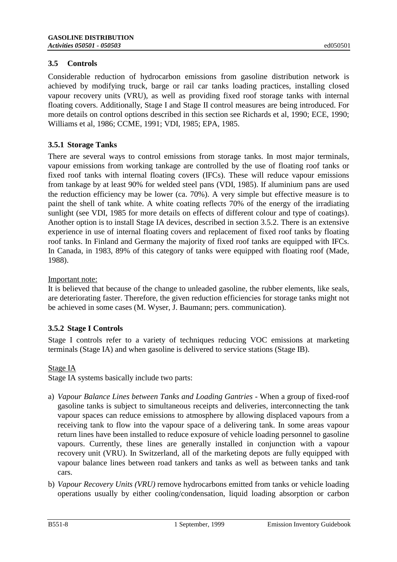# **3.5 Controls**

Considerable reduction of hydrocarbon emissions from gasoline distribution network is achieved by modifying truck, barge or rail car tanks loading practices, installing closed vapour recovery units (VRU), as well as providing fixed roof storage tanks with internal floating covers. Additionally, Stage I and Stage II control measures are being introduced. For more details on control options described in this section see Richards et al, 1990; ECE, 1990; Williams et al, 1986; CCME, 1991; VDI, 1985; EPA, 1985.

# **3.5.1 Storage Tanks**

There are several ways to control emissions from storage tanks. In most major terminals, vapour emissions from working tankage are controlled by the use of floating roof tanks or fixed roof tanks with internal floating covers (IFCs). These will reduce vapour emissions from tankage by at least 90% for welded steel pans (VDI, 1985). If aluminium pans are used the reduction efficiency may be lower (ca. 70%). A very simple but effective measure is to paint the shell of tank white. A white coating reflects 70% of the energy of the irradiating sunlight (see VDI, 1985 for more details on effects of different colour and type of coatings). Another option is to install Stage IA devices, described in section 3.5.2. There is an extensive experience in use of internal floating covers and replacement of fixed roof tanks by floating roof tanks. In Finland and Germany the majority of fixed roof tanks are equipped with IFCs. In Canada, in 1983, 89% of this category of tanks were equipped with floating roof (Made, 1988).

Important note:

It is believed that because of the change to unleaded gasoline, the rubber elements, like seals, are deteriorating faster. Therefore, the given reduction efficiencies for storage tanks might not be achieved in some cases (M. Wyser, J. Baumann; pers. communication).

# **3.5.2 Stage I Controls**

Stage I controls refer to a variety of techniques reducing VOC emissions at marketing terminals (Stage IA) and when gasoline is delivered to service stations (Stage IB).

# Stage IA

Stage IA systems basically include two parts:

- a) *Vapour Balance Lines between Tanks and Loading Gantries* When a group of fixed-roof gasoline tanks is subject to simultaneous receipts and deliveries, interconnecting the tank vapour spaces can reduce emissions to atmosphere by allowing displaced vapours from a receiving tank to flow into the vapour space of a delivering tank. In some areas vapour return lines have been installed to reduce exposure of vehicle loading personnel to gasoline vapours. Currently, these lines are generally installed in conjunction with a vapour recovery unit (VRU). In Switzerland, all of the marketing depots are fully equipped with vapour balance lines between road tankers and tanks as well as between tanks and tank cars.
- b) *Vapour Recovery Units (VRU)* remove hydrocarbons emitted from tanks or vehicle loading operations usually by either cooling/condensation, liquid loading absorption or carbon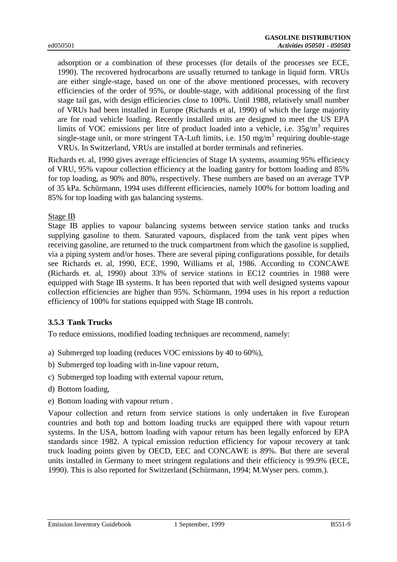adsorption or a combination of these processes (for details of the processes see ECE, 1990). The recovered hydrocarbons are usually returned to tankage in liquid form. VRUs are either single-stage, based on one of the above mentioned processes, with recovery efficiencies of the order of 95%, or double-stage, with additional processing of the first stage tail gas, with design efficiencies close to 100%. Until 1988, relatively small number of VRUs had been installed in Europe (Richards et al, 1990) of which the large majority are for road vehicle loading. Recently installed units are designed to meet the US EPA limits of VOC emissions per litre of product loaded into a vehicle, i.e.  $35g/m<sup>3</sup>$  requires single-stage unit, or more stringent TA-Luft limits, i.e.  $150 \text{ mg/m}^3$  requiring double-stage VRUs. In Switzerland, VRUs are installed at border terminals and refineries.

Richards et. al, 1990 gives average efficiencies of Stage IA systems, assuming 95% efficiency of VRU, 95% vapour collection efficiency at the loading gantry for bottom loading and 85% for top loading, as 90% and 80%, respectively. These numbers are based on an average TVP of 35 kPa. Schürmann, 1994 uses different efficiencies, namely 100% for bottom loading and 85% for top loading with gas balancing systems.

## Stage IB

Stage IB applies to vapour balancing systems between service station tanks and trucks supplying gasoline to them. Saturated vapours, displaced from the tank vent pipes when receiving gasoline, are returned to the truck compartment from which the gasoline is supplied, via a piping system and/or hoses. There are several piping configurations possible, for details see Richards et. al, 1990, ECE, 1990, Williams et al, 1986. According to CONCAWE (Richards et. al, 1990) about 33% of service stations in EC12 countries in 1988 were equipped with Stage IB systems. It has been reported that with well designed systems vapour collection efficiencies are higher than 95%. Schürmann, 1994 uses in his report a reduction efficiency of 100% for stations equipped with Stage IB controls.

## **3.5.3 Tank Trucks**

To reduce emissions, modified loading techniques are recommend, namely:

- a) Submerged top loading (reduces VOC emissions by 40 to 60%),
- b) Submerged top loading with in-line vapour return,
- c) Submerged top loading with external vapour return,
- d) Bottom loading,
- e) Bottom loading with vapour return .

Vapour collection and return from service stations is only undertaken in five European countries and both top and bottom loading trucks are equipped there with vapour return systems. In the USA, bottom loading with vapour return has been legally enforced by EPA standards since 1982. A typical emission reduction efficiency for vapour recovery at tank truck loading points given by OECD, EEC and CONCAWE is 89%. But there are several units installed in Germany to meet stringent regulations and their efficiency is 99.9% (ECE, 1990). This is also reported for Switzerland (Schürmann, 1994; M.Wyser pers. comm.).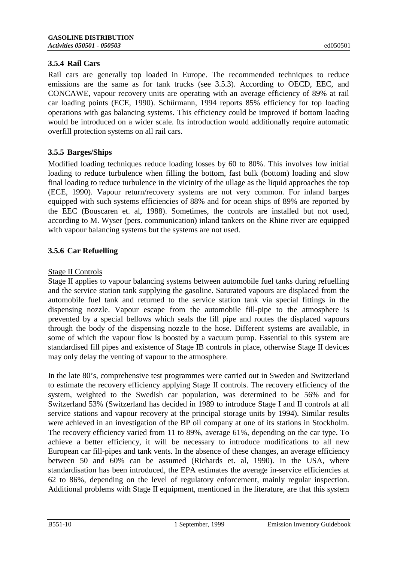# **3.5.4 Rail Cars**

Rail cars are generally top loaded in Europe. The recommended techniques to reduce emissions are the same as for tank trucks (see 3.5.3). According to OECD, EEC, and CONCAWE, vapour recovery units are operating with an average efficiency of 89% at rail car loading points (ECE, 1990). Schürmann, 1994 reports 85% efficiency for top loading operations with gas balancing systems. This efficiency could be improved if bottom loading would be introduced on a wider scale. Its introduction would additionally require automatic overfill protection systems on all rail cars.

# **3.5.5 Barges/Ships**

Modified loading techniques reduce loading losses by 60 to 80%. This involves low initial loading to reduce turbulence when filling the bottom, fast bulk (bottom) loading and slow final loading to reduce turbulence in the vicinity of the ullage as the liquid approaches the top (ECE, 1990). Vapour return/recovery systems are not very common. For inland barges equipped with such systems efficiencies of 88% and for ocean ships of 89% are reported by the EEC (Bouscaren et. al, 1988). Sometimes, the controls are installed but not used, according to M. Wyser (pers. communication) inland tankers on the Rhine river are equipped with vapour balancing systems but the systems are not used.

# **3.5.6 Car Refuelling**

# Stage II Controls

Stage II applies to vapour balancing systems between automobile fuel tanks during refuelling and the service station tank supplying the gasoline. Saturated vapours are displaced from the automobile fuel tank and returned to the service station tank via special fittings in the dispensing nozzle. Vapour escape from the automobile fill-pipe to the atmosphere is prevented by a special bellows which seals the fill pipe and routes the displaced vapours through the body of the dispensing nozzle to the hose. Different systems are available, in some of which the vapour flow is boosted by a vacuum pump. Essential to this system are standardised fill pipes and existence of Stage IB controls in place, otherwise Stage II devices may only delay the venting of vapour to the atmosphere.

In the late 80's, comprehensive test programmes were carried out in Sweden and Switzerland to estimate the recovery efficiency applying Stage II controls. The recovery efficiency of the system, weighted to the Swedish car population, was determined to be 56% and for Switzerland 53% (Switzerland has decided in 1989 to introduce Stage I and II controls at all service stations and vapour recovery at the principal storage units by 1994). Similar results were achieved in an investigation of the BP oil company at one of its stations in Stockholm. The recovery efficiency varied from 11 to 89%, average 61%, depending on the car type. To achieve a better efficiency, it will be necessary to introduce modifications to all new European car fill-pipes and tank vents. In the absence of these changes, an average efficiency between 50 and 60% can be assumed (Richards et. al, 1990). In the USA, where standardisation has been introduced, the EPA estimates the average in-service efficiencies at 62 to 86%, depending on the level of regulatory enforcement, mainly regular inspection. Additional problems with Stage II equipment, mentioned in the literature, are that this system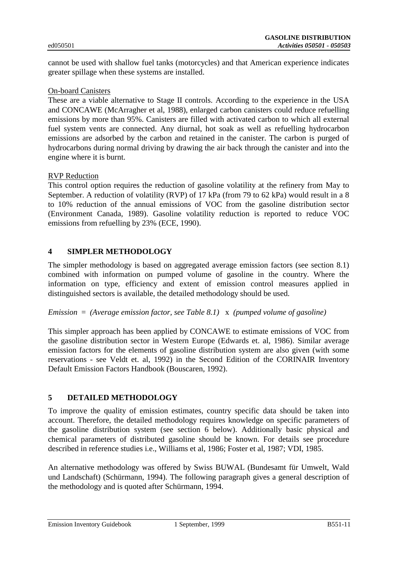cannot be used with shallow fuel tanks (motorcycles) and that American experience indicates greater spillage when these systems are installed.

#### On-board Canisters

These are a viable alternative to Stage II controls. According to the experience in the USA and CONCAWE (McArragher et al, 1988), enlarged carbon canisters could reduce refuelling emissions by more than 95%. Canisters are filled with activated carbon to which all external fuel system vents are connected. Any diurnal, hot soak as well as refuelling hydrocarbon emissions are adsorbed by the carbon and retained in the canister. The carbon is purged of hydrocarbons during normal driving by drawing the air back through the canister and into the engine where it is burnt.

#### RVP Reduction

This control option requires the reduction of gasoline volatility at the refinery from May to September. A reduction of volatility (RVP) of 17 kPa (from 79 to 62 kPa) would result in a 8 to 10% reduction of the annual emissions of VOC from the gasoline distribution sector (Environment Canada, 1989). Gasoline volatility reduction is reported to reduce VOC emissions from refuelling by 23% (ECE, 1990).

## **4 SIMPLER METHODOLOGY**

The simpler methodology is based on aggregated average emission factors (see section 8.1) combined with information on pumped volume of gasoline in the country. Where the information on type, efficiency and extent of emission control measures applied in distinguished sectors is available, the detailed methodology should be used.

## *Emission* = *(Average emission factor, see Table 8.1)* x *(pumped volume of gasoline)*

This simpler approach has been applied by CONCAWE to estimate emissions of VOC from the gasoline distribution sector in Western Europe (Edwards et. al, 1986). Similar average emission factors for the elements of gasoline distribution system are also given (with some reservations - see Veldt et. al, 1992) in the Second Edition of the CORINAIR Inventory Default Emission Factors Handbook (Bouscaren, 1992).

## **5 DETAILED METHODOLOGY**

To improve the quality of emission estimates, country specific data should be taken into account. Therefore, the detailed methodology requires knowledge on specific parameters of the gasoline distribution system (see section 6 below). Additionally basic physical and chemical parameters of distributed gasoline should be known. For details see procedure described in reference studies i.e., Williams et al, 1986; Foster et al, 1987; VDI, 1985.

An alternative methodology was offered by Swiss BUWAL (Bundesamt für Umwelt, Wald und Landschaft) (Schürmann, 1994). The following paragraph gives a general description of the methodology and is quoted after Schürmann, 1994.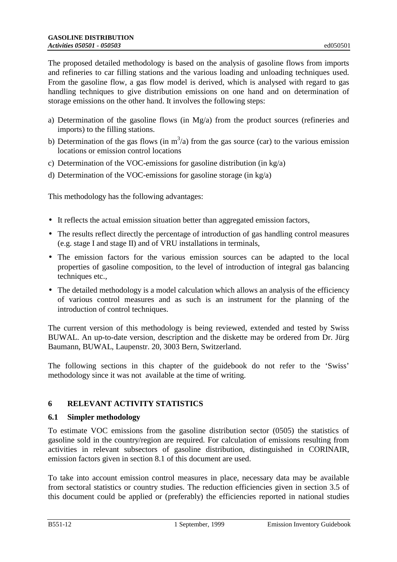The proposed detailed methodology is based on the analysis of gasoline flows from imports and refineries to car filling stations and the various loading and unloading techniques used. From the gasoline flow, a gas flow model is derived, which is analysed with regard to gas handling techniques to give distribution emissions on one hand and on determination of storage emissions on the other hand. It involves the following steps:

- a) Determination of the gasoline flows (in Mg/a) from the product sources (refineries and imports) to the filling stations.
- b) Determination of the gas flows (in  $m^3/a$ ) from the gas source (car) to the various emission locations or emission control locations
- c) Determination of the VOC-emissions for gasoline distribution (in kg/a)
- d) Determination of the VOC-emissions for gasoline storage (in kg/a)

This methodology has the following advantages:

- It reflects the actual emission situation better than aggregated emission factors,
- The results reflect directly the percentage of introduction of gas handling control measures (e.g. stage I and stage II) and of VRU installations in terminals,
- The emission factors for the various emission sources can be adapted to the local properties of gasoline composition, to the level of introduction of integral gas balancing techniques etc.,
- The detailed methodology is a model calculation which allows an analysis of the efficiency of various control measures and as such is an instrument for the planning of the introduction of control techniques.

The current version of this methodology is being reviewed, extended and tested by Swiss BUWAL. An up-to-date version, description and the diskette may be ordered from Dr. Jürg Baumann, BUWAL, Laupenstr. 20, 3003 Bern, Switzerland.

The following sections in this chapter of the guidebook do not refer to the 'Swiss' methodology since it was not available at the time of writing.

# **6 RELEVANT ACTIVITY STATISTICS**

# **6.1 Simpler methodology**

To estimate VOC emissions from the gasoline distribution sector (0505) the statistics of gasoline sold in the country/region are required. For calculation of emissions resulting from activities in relevant subsectors of gasoline distribution, distinguished in CORINAIR, emission factors given in section 8.1 of this document are used.

To take into account emission control measures in place, necessary data may be available from sectoral statistics or country studies. The reduction efficiencies given in section 3.5 of this document could be applied or (preferably) the efficiencies reported in national studies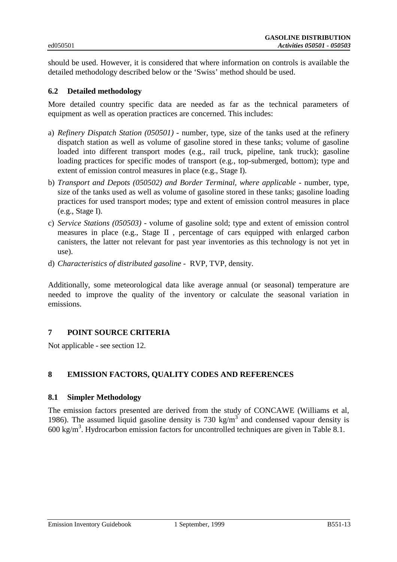should be used. However, it is considered that where information on controls is available the detailed methodology described below or the 'Swiss' method should be used.

# **6.2 Detailed methodology**

More detailed country specific data are needed as far as the technical parameters of equipment as well as operation practices are concerned. This includes:

- a) *Refinery Dispatch Station (050501)*  number, type, size of the tanks used at the refinery dispatch station as well as volume of gasoline stored in these tanks; volume of gasoline loaded into different transport modes (e.g., rail truck, pipeline, tank truck); gasoline loading practices for specific modes of transport (e.g., top-submerged, bottom); type and extent of emission control measures in place (e.g., Stage I).
- b) *Transport and Depots (050502) and Border Terminal, where applicable* number, type, size of the tanks used as well as volume of gasoline stored in these tanks; gasoline loading practices for used transport modes; type and extent of emission control measures in place (e.g., Stage I).
- c) *Service Stations (050503)* volume of gasoline sold; type and extent of emission control measures in place (e.g., Stage II , percentage of cars equipped with enlarged carbon canisters, the latter not relevant for past year inventories as this technology is not yet in use).
- d) *Characteristics of distributed gasoline* RVP, TVP, density.

Additionally, some meteorological data like average annual (or seasonal) temperature are needed to improve the quality of the inventory or calculate the seasonal variation in emissions.

## **7 POINT SOURCE CRITERIA**

Not applicable - see section 12.

# **8 EMISSION FACTORS, QUALITY CODES AND REFERENCES**

## **8.1 Simpler Methodology**

The emission factors presented are derived from the study of CONCAWE (Williams et al, 1986). The assumed liquid gasoline density is 730 kg/m<sup>3</sup> and condensed vapour density is 600 kg/m<sup>3</sup> . Hydrocarbon emission factors for uncontrolled techniques are given in Table 8.1.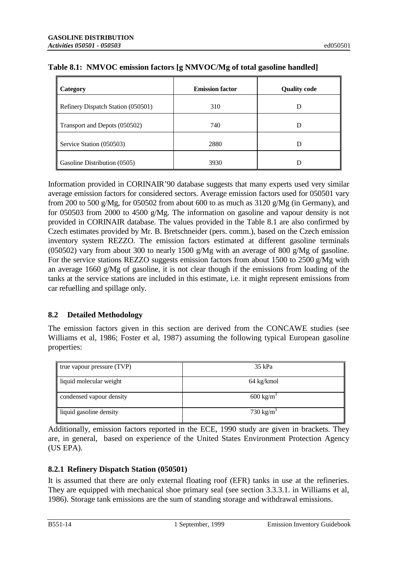| Category                           | <b>Emission factor</b> | <b>Quality code</b> |
|------------------------------------|------------------------|---------------------|
| Refinery Dispatch Station (050501) | 310                    |                     |
| Transport and Depots (050502)      | 740                    | Ð                   |
| Service Station (050503)           | 2880                   |                     |
| Gasoline Distribution (0505)       | 3930                   |                     |

|  |  | Table 8.1: NMVOC emission factors [g NMVOC/Mg of total gasoline handled] |  |  |  |  |
|--|--|--------------------------------------------------------------------------|--|--|--|--|
|--|--|--------------------------------------------------------------------------|--|--|--|--|

Information provided in CORINAIR'90 database suggests that many experts used very similar average emission factors for considered sectors. Average emission factors used for 050501 vary from 200 to 500 g/Mg, for 050502 from about 600 to as much as 3120 g/Mg (in Germany), and for 050503 from 2000 to 4500 g/Mg. The information on gasoline and vapour density is not provided in CORINAIR database. The values provided in the Table 8.1 are also confirmed by Czech estimates provided by Mr. B. Bretschneider (pers. comm.), based on the Czech emission inventory system REZZO. The emission factors estimated at different gasoline terminals (050502) vary from about 300 to nearly 1500 g/Mg with an average of 800 g/Mg of gasoline. For the service stations REZZO suggests emission factors from about 1500 to 2500 g/Mg with an average 1660 g/Mg of gasoline, it is not clear though if the emissions from loading of the tanks at the service stations are included in this estimate, i.e. it might represent emissions from car refuelling and spillage only.

# **8.2 Detailed Methodology**

The emission factors given in this section are derived from the CONCAWE studies (see Williams et al, 1986; Foster et al, 1987) assuming the following typical European gasoline properties:

| true vapour pressure (TVP) | $35$ kPa             |
|----------------------------|----------------------|
| liquid molecular weight    | 64 kg/kmol           |
| condensed vapour density   | $600 \text{ kg/m}^3$ |
| liquid gasoline density    | $730 \text{ kg/m}^3$ |

Additionally, emission factors reported in the ECE, 1990 study are given in brackets. They are, in general, based on experience of the United States Environment Protection Agency (US EPA).

# **8.2.1 Refinery Dispatch Station (050501)**

It is assumed that there are only external floating roof (EFR) tanks in use at the refineries. They are equipped with mechanical shoe primary seal (see section 3.3.3.1. in Williams et al, 1986). Storage tank emissions are the sum of standing storage and withdrawal emissions.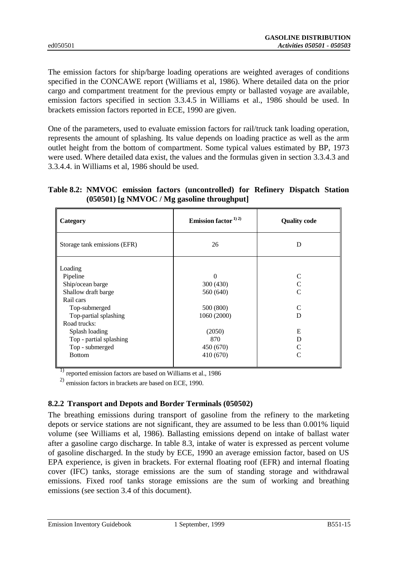The emission factors for ship/barge loading operations are weighted averages of conditions specified in the CONCAWE report (Williams et al, 1986). Where detailed data on the prior cargo and compartment treatment for the previous empty or ballasted voyage are available, emission factors specified in section 3.3.4.5 in Williams et al., 1986 should be used. In brackets emission factors reported in ECE, 1990 are given.

One of the parameters, used to evaluate emission factors for rail/truck tank loading operation, represents the amount of splashing. Its value depends on loading practice as well as the arm outlet height from the bottom of compartment. Some typical values estimated by BP, 1973 were used. Where detailed data exist, the values and the formulas given in section 3.3.4.3 and 3.3.4.4. in Williams et al, 1986 should be used.

**Table 8.2: NMVOC emission factors (uncontrolled) for Refinery Dispatch Station (050501) [g NMVOC / Mg gasoline throughput]**

| Category                                                                                                                                                                                                               | Emission factor $^{1/2)}$                                                                          | <b>Quality code</b>                             |
|------------------------------------------------------------------------------------------------------------------------------------------------------------------------------------------------------------------------|----------------------------------------------------------------------------------------------------|-------------------------------------------------|
| Storage tank emissions (EFR)                                                                                                                                                                                           | 26                                                                                                 | D                                               |
| Loading<br>Pipeline<br>Ship/ocean barge<br>Shallow draft barge<br>Rail cars<br>Top-submerged<br>Top-partial splashing<br>Road trucks:<br>Splash loading<br>Top - partial splashing<br>Top - submerged<br><b>Bottom</b> | 0<br>300 (430)<br>560 (640)<br>500 (800)<br>1060 (2000)<br>(2050)<br>870<br>450 (670)<br>410 (670) | C<br>$\mathcal{C}_{\mathcal{C}}$<br>D<br>E<br>D |

1) reported emission factors are based on Williams et al., 1986

 $^{2)}$  emission factors in brackets are based on ECE, 1990.

## **8.2.2 Transport and Depots and Border Terminals (050502)**

The breathing emissions during transport of gasoline from the refinery to the marketing depots or service stations are not significant, they are assumed to be less than 0.001% liquid volume (see Williams et al, 1986). Ballasting emissions depend on intake of ballast water after a gasoline cargo discharge. In table 8.3, intake of water is expressed as percent volume of gasoline discharged. In the study by ECE, 1990 an average emission factor, based on US EPA experience, is given in brackets. For external floating roof (EFR) and internal floating cover (IFC) tanks, storage emissions are the sum of standing storage and withdrawal emissions. Fixed roof tanks storage emissions are the sum of working and breathing emissions (see section 3.4 of this document).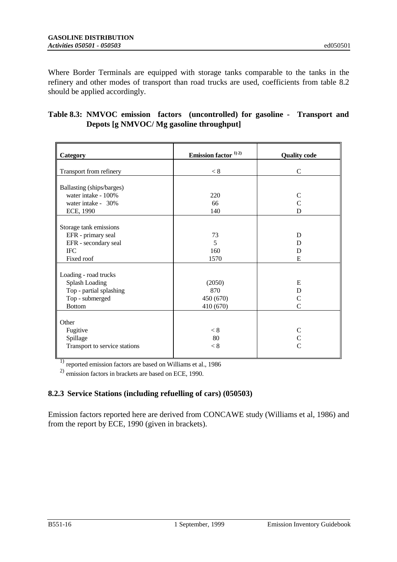Where Border Terminals are equipped with storage tanks comparable to the tanks in the refinery and other modes of transport than road trucks are used, coefficients from table 8.2 should be applied accordingly.

# **Table 8.3: NMVOC emission factors (uncontrolled) for gasoline - Transport and Depots [g NMVOC/ Mg gasoline throughput]**

| Category                                                 | Emission factor $^{1/2)}$ | <b>Quality code</b>         |
|----------------------------------------------------------|---------------------------|-----------------------------|
| Transport from refinery                                  | < 8                       | $\mathbf C$                 |
| Ballasting (ships/barges)<br>water intake - 100%         | 220                       | $\mathsf{C}$                |
| water intake - 30%<br>ECE, 1990                          | 66<br>140                 | $\mathcal{C}$<br>D          |
| Storage tank emissions                                   |                           |                             |
| EFR - primary seal<br>EFR - secondary seal<br><b>IFC</b> | 73<br>5<br>160            | D<br>D<br>D                 |
| Fixed roof                                               | 1570                      | E                           |
| Loading - road trucks                                    |                           |                             |
| <b>Splash Loading</b><br>Top - partial splashing         | (2050)<br>870             | E<br>D                      |
| Top - submerged<br><b>Bottom</b>                         | 450 (670)<br>410 (670)    | $\mathcal{C}$<br>C          |
| Other                                                    |                           |                             |
| Fugitive<br>Spillage                                     | < 8<br>80                 | $\mathsf{C}$<br>$\mathbf C$ |
| Transport to service stations                            | < 8                       | $\overline{C}$              |

<sup>1)</sup> reported emission factors are based on Williams et al., 1986

 $^{2)}$  emission factors in brackets are based on ECE, 1990.

# **8.2.3 Service Stations (including refuelling of cars) (050503)**

Emission factors reported here are derived from CONCAWE study (Williams et al, 1986) and from the report by ECE, 1990 (given in brackets).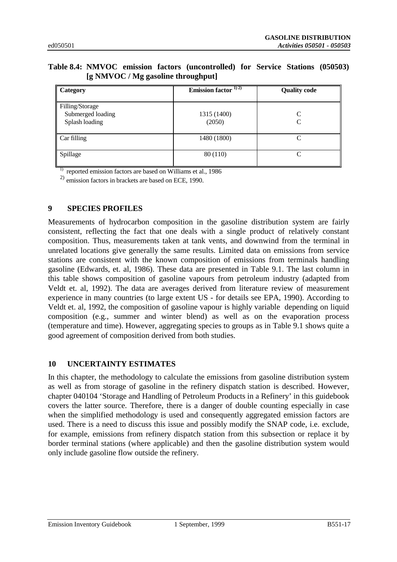# **Table 8.4: NMVOC emission factors (uncontrolled) for Service Stations (050503) [g NMVOC / Mg gasoline throughput]**

| Category                                               | Emission factor $\frac{1}{2}$ | <b>Quality code</b>              |
|--------------------------------------------------------|-------------------------------|----------------------------------|
| Filling/Storage<br>Submerged loading<br>Splash loading | 1315 (1400)<br>(2050)         | $\mathcal{C}_{\mathcal{C}}$<br>C |
| Car filling                                            | 1480 (1800)                   | $\cap$                           |
| Spillage                                               | 80 (110)                      | $\cap$                           |

<sup>1)</sup> reported emission factors are based on Williams et al., 1986

2) emission factors in brackets are based on ECE, 1990.

# **9 SPECIES PROFILES**

Measurements of hydrocarbon composition in the gasoline distribution system are fairly consistent, reflecting the fact that one deals with a single product of relatively constant composition. Thus, measurements taken at tank vents, and downwind from the terminal in unrelated locations give generally the same results. Limited data on emissions from service stations are consistent with the known composition of emissions from terminals handling gasoline (Edwards, et. al, 1986). These data are presented in Table 9.1. The last column in this table shows composition of gasoline vapours from petroleum industry (adapted from Veldt et. al, 1992). The data are averages derived from literature review of measurement experience in many countries (to large extent US - for details see EPA, 1990). According to Veldt et. al, 1992, the composition of gasoline vapour is highly variable depending on liquid composition (e.g., summer and winter blend) as well as on the evaporation process (temperature and time). However, aggregating species to groups as in Table 9.1 shows quite a good agreement of composition derived from both studies.

# **10 UNCERTAINTY ESTIMATES**

In this chapter, the methodology to calculate the emissions from gasoline distribution system as well as from storage of gasoline in the refinery dispatch station is described. However, chapter 040104 'Storage and Handling of Petroleum Products in a Refinery' in this guidebook covers the latter source. Therefore, there is a danger of double counting especially in case when the simplified methodology is used and consequently aggregated emission factors are used. There is a need to discuss this issue and possibly modify the SNAP code, i.e. exclude, for example, emissions from refinery dispatch station from this subsection or replace it by border terminal stations (where applicable) and then the gasoline distribution system would only include gasoline flow outside the refinery.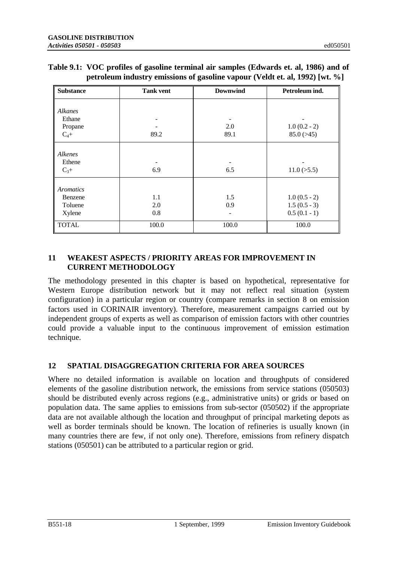| <b>Substance</b> | <b>Tank vent</b> | <b>Downwind</b> | Petroleum ind. |
|------------------|------------------|-----------------|----------------|
|                  |                  |                 |                |
| Alkanes          |                  |                 |                |
| Ethane           |                  |                 |                |
| Propane          |                  | 2.0             | $1.0(0.2 - 2)$ |
| $C_4+$           | 89.2             | 89.1            | 85.0(>45)      |
| Alkenes          |                  |                 |                |
|                  |                  |                 |                |
| Ethene           |                  |                 |                |
| $C_3+$           | 6.9              | 6.5             | 11.0(>5.5)     |
| <b>Aromatics</b> |                  |                 |                |
| Benzene          | 1.1              | 1.5             | $1.0(0.5 - 2)$ |
| Toluene          | 2.0              | 0.9             | $1.5(0.5-3)$   |
|                  | 0.8              |                 | $0.5(0.1 - 1)$ |
| Xylene           |                  |                 |                |
| <b>TOTAL</b>     | 100.0            | 100.0           | 100.0          |

| Table 9.1: VOC profiles of gasoline terminal air samples (Edwards et. al, 1986) and of |
|----------------------------------------------------------------------------------------|
| petroleum industry emissions of gasoline vapour (Veldt et. al. 1992) [wt. %]           |

# **11 WEAKEST ASPECTS / PRIORITY AREAS FOR IMPROVEMENT IN CURRENT METHODOLOGY**

The methodology presented in this chapter is based on hypothetical, representative for Western Europe distribution network but it may not reflect real situation (system configuration) in a particular region or country (compare remarks in section 8 on emission factors used in CORINAIR inventory). Therefore, measurement campaigns carried out by independent groups of experts as well as comparison of emission factors with other countries could provide a valuable input to the continuous improvement of emission estimation technique.

# **12 SPATIAL DISAGGREGATION CRITERIA FOR AREA SOURCES**

Where no detailed information is available on location and throughputs of considered elements of the gasoline distribution network, the emissions from service stations (050503) should be distributed evenly across regions (e.g., administrative units) or grids or based on population data. The same applies to emissions from sub-sector (050502) if the appropriate data are not available although the location and throughput of principal marketing depots as well as border terminals should be known. The location of refineries is usually known (in many countries there are few, if not only one). Therefore, emissions from refinery dispatch stations (050501) can be attributed to a particular region or grid.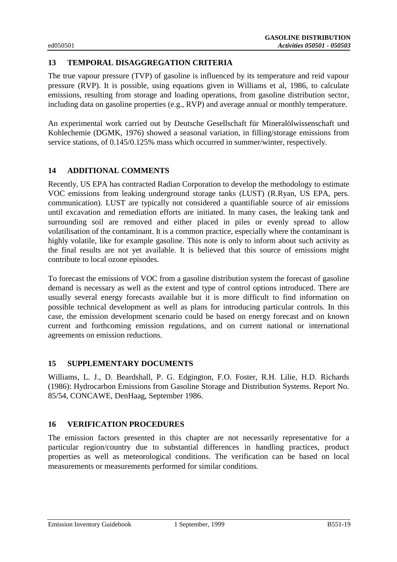# **13 TEMPORAL DISAGGREGATION CRITERIA**

The true vapour pressure (TVP) of gasoline is influenced by its temperature and reid vapour pressure (RVP). It is possible, using equations given in Williams et al, 1986, to calculate emissions, resulting from storage and loading operations, from gasoline distribution sector, including data on gasoline properties (e.g., RVP) and average annual or monthly temperature.

An experimental work carried out by Deutsche Gesellschaft für Mineralölwissenschaft und Kohlechemie (DGMK, 1976) showed a seasonal variation, in filling/storage emissions from service stations, of 0.145/0.125% mass which occurred in summer/winter, respectively.

# **14 ADDITIONAL COMMENTS**

Recently, US EPA has contracted Radian Corporation to develop the methodology to estimate VOC emissions from leaking underground storage tanks (LUST) (R.Ryan, US EPA, pers. communication). LUST are typically not considered a quantifiable source of air emissions until excavation and remediation efforts are initiated. In many cases, the leaking tank and surrounding soil are removed and either placed in piles or evenly spread to allow volatilisation of the contaminant. It is a common practice, especially where the contaminant is highly volatile, like for example gasoline. This note is only to inform about such activity as the final results are not yet available. It is believed that this source of emissions might contribute to local ozone episodes.

To forecast the emissions of VOC from a gasoline distribution system the forecast of gasoline demand is necessary as well as the extent and type of control options introduced. There are usually several energy forecasts available but it is more difficult to find information on possible technical development as well as plans for introducing particular controls. In this case, the emission development scenario could be based on energy forecast and on known current and forthcoming emission regulations, and on current national or international agreements on emission reductions.

# **15 SUPPLEMENTARY DOCUMENTS**

Williams, L. J., D. Beardshall, P. G. Edgington, F.O. Foster, R.H. Lilie, H.D. Richards (1986): Hydrocarbon Emissions from Gasoline Storage and Distribution Systems. Report No. 85/54, CONCAWE, DenHaag, September 1986.

# **16 VERIFICATION PROCEDURES**

The emission factors presented in this chapter are not necessarily representative for a particular region/country due to substantial differences in handling practices, product properties as well as meteorological conditions. The verification can be based on local measurements or measurements performed for similar conditions.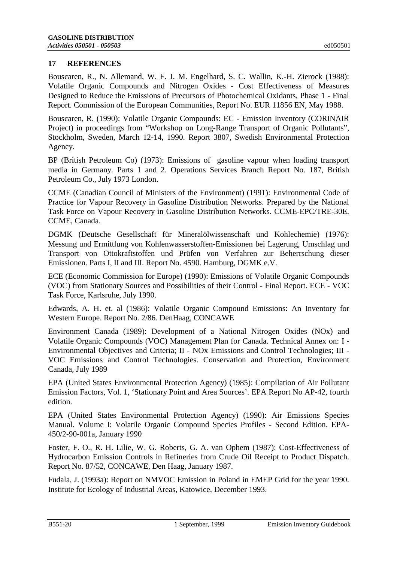# **17 REFERENCES**

Bouscaren, R., N. Allemand, W. F. J. M. Engelhard, S. C. Wallin, K.-H. Zierock (1988): Volatile Organic Compounds and Nitrogen Oxides - Cost Effectiveness of Measures Designed to Reduce the Emissions of Precursors of Photochemical Oxidants, Phase 1 - Final Report. Commission of the European Communities, Report No. EUR 11856 EN, May 1988.

Bouscaren, R. (1990): Volatile Organic Compounds: EC - Emission Inventory (CORINAIR Project) in proceedings from "Workshop on Long-Range Transport of Organic Pollutants", Stockholm, Sweden, March 12-14, 1990. Report 3807, Swedish Environmental Protection Agency.

BP (British Petroleum Co) (1973): Emissions of gasoline vapour when loading transport media in Germany. Parts 1 and 2. Operations Services Branch Report No. 187, British Petroleum Co., July 1973 London.

CCME (Canadian Council of Ministers of the Environment) (1991): Environmental Code of Practice for Vapour Recovery in Gasoline Distribution Networks. Prepared by the National Task Force on Vapour Recovery in Gasoline Distribution Networks. CCME-EPC/TRE-30E, CCME, Canada.

DGMK (Deutsche Gesellschaft für Mineralölwissenschaft und Kohlechemie) (1976): Messung und Ermittlung von Kohlenwasserstoffen-Emissionen bei Lagerung, Umschlag und Transport von Ottokraftstoffen und Prüfen von Verfahren zur Beherrschung dieser Emissionen. Parts I, II and III. Report No. 4590. Hamburg, DGMK e.V.

ECE (Economic Commission for Europe) (1990): Emissions of Volatile Organic Compounds (VOC) from Stationary Sources and Possibilities of their Control - Final Report. ECE - VOC Task Force, Karlsruhe, July 1990.

Edwards, A. H. et. al (1986): Volatile Organic Compound Emissions: An Inventory for Western Europe. Report No. 2/86. DenHaag, CONCAWE

Environment Canada (1989): Development of a National Nitrogen Oxides (NOx) and Volatile Organic Compounds (VOC) Management Plan for Canada. Technical Annex on: I - Environmental Objectives and Criteria; II - NOx Emissions and Control Technologies; III - VOC Emissions and Control Technologies. Conservation and Protection, Environment Canada, July 1989

EPA (United States Environmental Protection Agency) (1985): Compilation of Air Pollutant Emission Factors, Vol. 1, 'Stationary Point and Area Sources'. EPA Report No AP-42, fourth edition.

EPA (United States Environmental Protection Agency) (1990): Air Emissions Species Manual. Volume I: Volatile Organic Compound Species Profiles - Second Edition. EPA-450/2-90-001a, January 1990

Foster, F. O., R. H. Lilie, W. G. Roberts, G. A. van Ophem (1987): Cost-Effectiveness of Hydrocarbon Emission Controls in Refineries from Crude Oil Receipt to Product Dispatch. Report No. 87/52, CONCAWE, Den Haag, January 1987.

Fudala, J. (1993a): Report on NMVOC Emission in Poland in EMEP Grid for the year 1990. Institute for Ecology of Industrial Areas, Katowice, December 1993.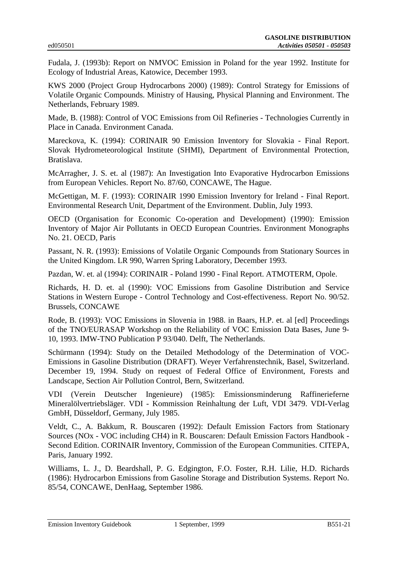Fudala, J. (1993b): Report on NMVOC Emission in Poland for the year 1992. Institute for Ecology of Industrial Areas, Katowice, December 1993.

KWS 2000 (Project Group Hydrocarbons 2000) (1989): Control Strategy for Emissions of Volatile Organic Compounds. Ministry of Hausing, Physical Planning and Environment. The Netherlands, February 1989.

Made, B. (1988): Control of VOC Emissions from Oil Refineries - Technologies Currently in Place in Canada. Environment Canada.

Mareckova, K. (1994): CORINAIR 90 Emission Inventory for Slovakia - Final Report. Slovak Hydrometeorological Institute (SHMI), Department of Environmental Protection, Bratislava.

McArragher, J. S. et. al (1987): An Investigation Into Evaporative Hydrocarbon Emissions from European Vehicles. Report No. 87/60, CONCAWE, The Hague.

McGettigan, M. F. (1993): CORINAIR 1990 Emission Inventory for Ireland - Final Report. Environmental Research Unit, Department of the Environment. Dublin, July 1993.

OECD (Organisation for Economic Co-operation and Development) (1990): Emission Inventory of Major Air Pollutants in OECD European Countries. Environment Monographs No. 21. OECD, Paris

Passant, N. R. (1993): Emissions of Volatile Organic Compounds from Stationary Sources in the United Kingdom. LR 990, Warren Spring Laboratory, December 1993.

Pazdan, W. et. al (1994): CORINAIR - Poland 1990 - Final Report. ATMOTERM, Opole.

Richards, H. D. et. al (1990): VOC Emissions from Gasoline Distribution and Service Stations in Western Europe - Control Technology and Cost-effectiveness. Report No. 90/52. Brussels, CONCAWE

Rode, B. (1993): VOC Emissions in Slovenia in 1988. in Baars, H.P. et. al [ed] Proceedings of the TNO/EURASAP Workshop on the Reliability of VOC Emission Data Bases, June 9- 10, 1993. IMW-TNO Publication P 93/040. Delft, The Netherlands.

Schürmann (1994): Study on the Detailed Methodology of the Determination of VOC-Emissions in Gasoline Distribution (DRAFT). Weyer Verfahrenstechnik, Basel, Switzerland. December 19, 1994. Study on request of Federal Office of Environment, Forests and Landscape, Section Air Pollution Control, Bern, Switzerland.

VDI (Verein Deutscher Ingenieure) (1985): Emissionsminderung Raffinerieferne Mineralölvertriebsläger. VDI - Kommission Reinhaltung der Luft, VDI 3479. VDI-Verlag GmbH, Düsseldorf, Germany, July 1985.

Veldt, C., A. Bakkum, R. Bouscaren (1992): Default Emission Factors from Stationary Sources (NOx - VOC including CH4) in R. Bouscaren: Default Emission Factors Handbook - Second Edition. CORINAIR Inventory, Commission of the European Communities. CITEPA, Paris, January 1992.

Williams, L. J., D. Beardshall, P. G. Edgington, F.O. Foster, R.H. Lilie, H.D. Richards (1986): Hydrocarbon Emissions from Gasoline Storage and Distribution Systems. Report No. 85/54, CONCAWE, DenHaag, September 1986.